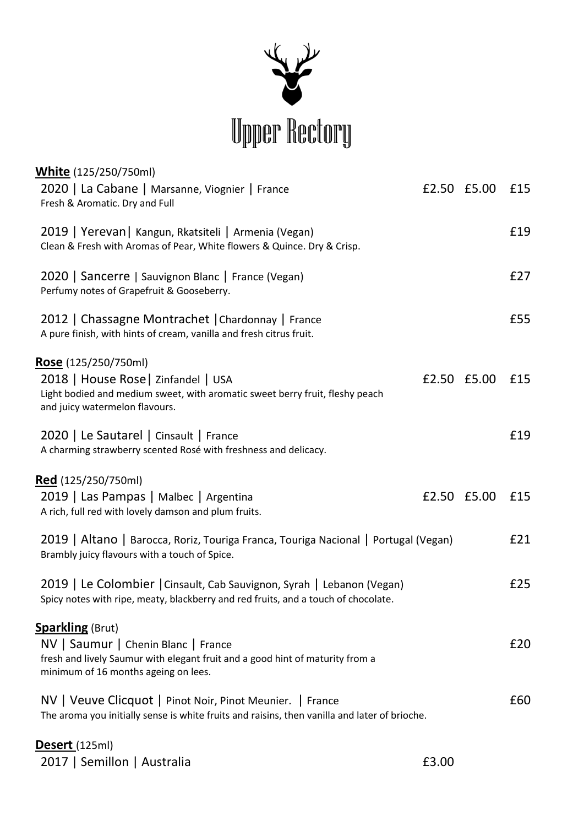

| <b>White</b> (125/250/750ml)                                                                                                                                                  |             |     |
|-------------------------------------------------------------------------------------------------------------------------------------------------------------------------------|-------------|-----|
| 2020   La Cabane   Marsanne, Viognier   France<br>Fresh & Aromatic. Dry and Full                                                                                              | £2.50 £5.00 | £15 |
| 2019   Yerevan   Kangun, Rkatsiteli   Armenia (Vegan)<br>Clean & Fresh with Aromas of Pear, White flowers & Quince. Dry & Crisp.                                              |             | £19 |
| 2020   Sancerre   Sauvignon Blanc   France (Vegan)<br>Perfumy notes of Grapefruit & Gooseberry.                                                                               |             | E27 |
| 2012   Chassagne Montrachet   Chardonnay   France<br>A pure finish, with hints of cream, vanilla and fresh citrus fruit.                                                      |             | £55 |
| Rose (125/250/750ml)<br>2018   House Rose   Zinfandel   USA<br>Light bodied and medium sweet, with aromatic sweet berry fruit, fleshy peach<br>and juicy watermelon flavours. | £2.50 £5.00 | £15 |
| 2020   Le Sautarel   Cinsault   France<br>A charming strawberry scented Rosé with freshness and delicacy.                                                                     |             | £19 |
| Red (125/250/750ml)                                                                                                                                                           |             |     |
| 2019   Las Pampas   Malbec   Argentina<br>A rich, full red with lovely damson and plum fruits.                                                                                | £2.50 £5.00 | £15 |
| 2019   Altano   Barocca, Roriz, Touriga Franca, Touriga Nacional   Portugal (Vegan)<br>Brambly juicy flavours with a touch of Spice.                                          |             | £21 |
| 2019   Le Colombier   Cinsault, Cab Sauvignon, Syrah   Lebanon (Vegan)<br>Spicy notes with ripe, meaty, blackberry and red fruits, and a touch of chocolate.                  |             | £25 |
| <b>Sparkling (Brut)</b>                                                                                                                                                       |             |     |
| NV   Saumur   Chenin Blanc   France<br>fresh and lively Saumur with elegant fruit and a good hint of maturity from a<br>minimum of 16 months ageing on lees.                  |             | £20 |
| NV   Veuve Clicquot   Pinot Noir, Pinot Meunier.   France<br>The aroma you initially sense is white fruits and raisins, then vanilla and later of brioche.                    |             | £60 |
| Desert (125ml)                                                                                                                                                                |             |     |

2017 | Semillon | Australia **2017 | Semillon | Australia**